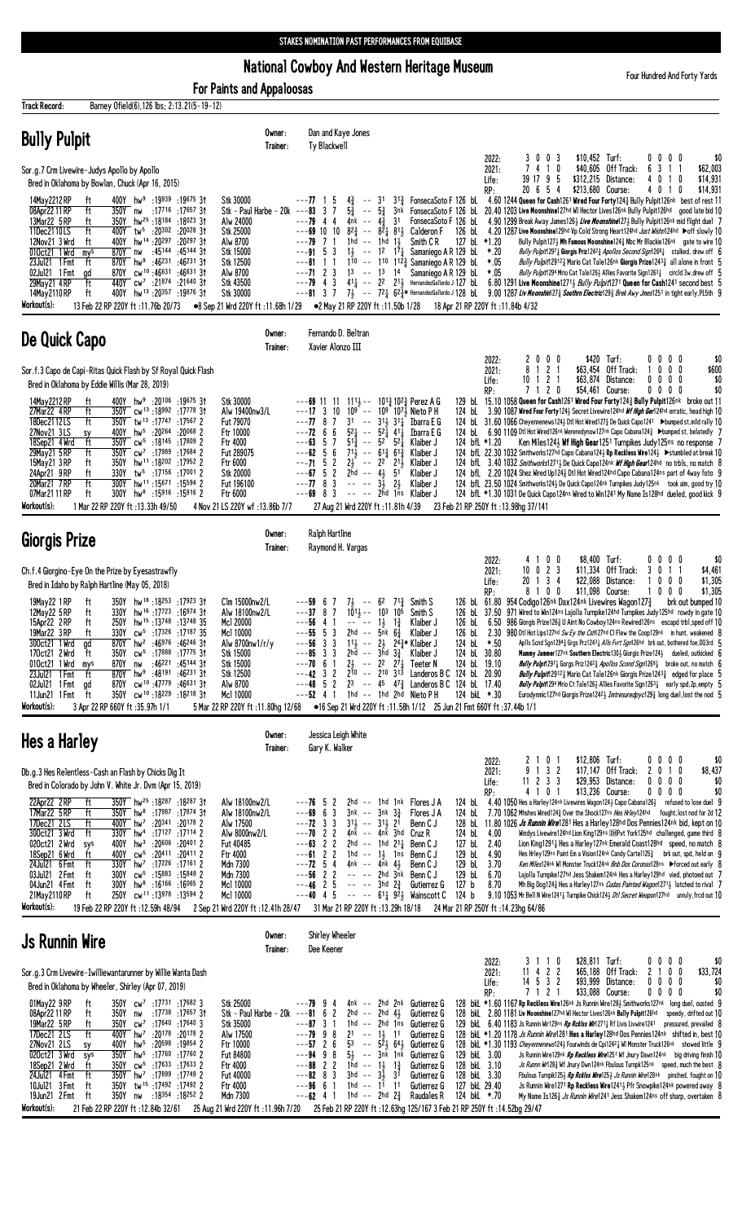National Cowboy And Western Heritage Museum

For Paints and Appaloosas

Four Hundred And Forty Yards

| Barney Ofield(6), 126 lbs; 2:13.21(5-19-12)<br>Track Record:                                                                                                                                                                                                                                                                                                                                                                                                                                                                                                                                                                                                                                                                                                                                                                                                      |                                                                                                                                                                                     |                                                                                                                                                                                                                                                                                                                                                                                                                                                                                                                                                                                                                                                                                                                                                                                                                                                                                                                                                                                                                                                                                                                                                                                                                                                                                                                                                                                                                                                                                                                                                                                                                                                                                                                                                                                                                                                                                                                                                                                                           |
|-------------------------------------------------------------------------------------------------------------------------------------------------------------------------------------------------------------------------------------------------------------------------------------------------------------------------------------------------------------------------------------------------------------------------------------------------------------------------------------------------------------------------------------------------------------------------------------------------------------------------------------------------------------------------------------------------------------------------------------------------------------------------------------------------------------------------------------------------------------------|-------------------------------------------------------------------------------------------------------------------------------------------------------------------------------------|-----------------------------------------------------------------------------------------------------------------------------------------------------------------------------------------------------------------------------------------------------------------------------------------------------------------------------------------------------------------------------------------------------------------------------------------------------------------------------------------------------------------------------------------------------------------------------------------------------------------------------------------------------------------------------------------------------------------------------------------------------------------------------------------------------------------------------------------------------------------------------------------------------------------------------------------------------------------------------------------------------------------------------------------------------------------------------------------------------------------------------------------------------------------------------------------------------------------------------------------------------------------------------------------------------------------------------------------------------------------------------------------------------------------------------------------------------------------------------------------------------------------------------------------------------------------------------------------------------------------------------------------------------------------------------------------------------------------------------------------------------------------------------------------------------------------------------------------------------------------------------------------------------------------------------------------------------------------------------------------------------------|
| <b>Bully Pulpit</b>                                                                                                                                                                                                                                                                                                                                                                                                                                                                                                                                                                                                                                                                                                                                                                                                                                               | Owner:<br>Trainer:                                                                                                                                                                  | Dan and Kaye Jones<br>Ty Blackwell                                                                                                                                                                                                                                                                                                                                                                                                                                                                                                                                                                                                                                                                                                                                                                                                                                                                                                                                                                                                                                                                                                                                                                                                                                                                                                                                                                                                                                                                                                                                                                                                                                                                                                                                                                                                                                                                                                                                                                        |
| Sor.g.7 Crm Livewire-Judys Apollo by Apollo<br>Bred in Oklahoma by Bowlan, Chuck (Apr 16, 2015)                                                                                                                                                                                                                                                                                                                                                                                                                                                                                                                                                                                                                                                                                                                                                                   |                                                                                                                                                                                     | \$10,452 Turf:<br>2022:<br>3003<br>$0\,0\,0\,0$<br>\$0<br>7 4 1 0<br>\$40,605<br>Off Track:<br>3<br>\$62,003<br>2021:<br>6<br>1 1<br>39 17 9 5<br>\$312,215 Distance:<br>\$14,931<br>4<br>0 1 0<br>Life:                                                                                                                                                                                                                                                                                                                                                                                                                                                                                                                                                                                                                                                                                                                                                                                                                                                                                                                                                                                                                                                                                                                                                                                                                                                                                                                                                                                                                                                                                                                                                                                                                                                                                                                                                                                                  |
| 400Y hw <sup>9</sup> :19939 :19675 3t<br>14May 2212 RP<br>ft<br>08Apr22 11 RP<br>ft<br>350Y nw<br>:17 <sup>716</sup> :17 <sup>657</sup> 3†<br>13Mar22 5 RP<br>ft<br>350Y hw <sup>25</sup> :18184 :18023 31<br>11Dec2110LS<br>ft<br>400Y tw <sup>5</sup> :20 <sup>302</sup> :20 <sup>028</sup> 31<br>12Nov21 3 Wrd<br>ft<br>400Y hw <sup>14</sup> :20 <sup>297</sup> :20 <sup>297</sup> 31<br>010ct21 1 Wrd<br>870Y nw<br>:45144 :45144 31<br>mys<br>23Jul21 1 Fmt<br>ft<br>870Y hw <sup>9</sup><br>:46 <sup>231</sup> :46 <sup>231</sup> 31<br>870Y cw <sup>10</sup> :46631:4663131<br>02Jul21 1 Fmt<br>ad<br>29May21 4RP<br>ft<br>440Y cw <sup>7</sup> :21874 :21640 31<br>400Y hw <sup>13</sup> :20357:19876 3t<br>14May 2110 RP<br>ft<br>Workout(s):<br>13 Feb 22 RP 220Y ft: 11.76b 20/73                                                                     | Stk 30000<br>Stk - Paul Harbe - 20k<br>Alw 24000<br>Stk 25000<br>Alw 8700<br>Stk 15000<br>Stk 12500<br>Alw 8700<br>Stk 43500<br>Stk 30000<br>●8 Sep 21 Wrd 220Y ft:11.68h 1/29      | \$14,931<br>20 6 5 4<br>\$213,680 Course:<br>RP:<br>40<br>0<br>-1<br>4.60 1244 Queen for Cash1261 Wired Four Forty124 $\frac{3}{4}$ Bully Pulpit126nk best of rest 11<br>$--77$ 1 5<br>$4\frac{3}{4}$<br>$--$ 31<br>$3^{13}$ FonsecaSoto F 126 bL<br>$\omega_{\pi}$<br>$---83$ 3 7<br>$5\frac{3}{4}$<br>$5\frac{3}{4}$<br>FonsecaSoto F 126 bl 20.40 1203 Live Moonshine127hd WI Hector Lives126nk Bully Pulpit126hd good late bid 10<br>3nk<br>4nk -- $4\frac{3}{4}$<br>$---79$ 4 4<br>FonsecaSoto F 126 bL<br>3 <sup>1</sup><br>4.90 1299 Break Away James126½ <i>Live Moonshine</i> 127½ Bully Pulpit126nk mid flight duel 7<br>$-$ --69 10 10 8 <sup>2</sup> / <sub>2</sub> -- 8 <sup>2</sup> / <sub>2</sub> 8 <sup>1</sup> / <sub>2</sub> Calderon F<br>126 bl. 4.20 1287 Live Moonshine129hd Vp Cold Strong Heart124hd Just Wishn124hd >off slowly 10<br>$---79$ 7 1<br>$1hd - 1hd 13$<br>Smith C R<br>127 bL *1.20<br>Bully Pulpit1273 Mh Famous Moonshine1243 Nbc Mr Blackie126nk gate to wire 10<br>$---91 5 3$<br>$1\frac{1}{2}$ -- $1^2$ $1^{\frac{1}{2}}$<br>Samaniego A R 129 bL<br>*.20<br>Bully Pulpit12971 Giorgis Priz12423 Apollos Second Sign12681 stalked, drew off 6<br>-- 110 11 $\frac{3}{4}$ Samaniego A R 129 bL<br>$---81$ 1 1<br>110<br>*.05<br><i>Bully Pulpit</i> 12912 <sub>3</sub> Mario Cat Tale 126nk Giorgis Prize 1243 <sub>4</sub> all alone in front 5<br>$---7123$<br>$13 - - 13$ $14$<br>$*.05$<br>Samaniego A R 129 bL<br>Bully Pulpit1294 Mrio Cat Tale126} Allies Favorite Sign12631 circld 3w, drew off<br>$---79$ 4 3<br>$41\frac{1}{4}$ -- 22 21, HernandezGallardo J 127 bl<br>6.80 1291 Live Moonshine12713 Bully Pulpit1271 Queen for Cash1241 second best 5<br>$-$ - 81 3 7 $7\frac{1}{2}$ -- $72\frac{1}{4}$ 62 $\frac{3}{4}$ * HernandezGallardo J 128 bl. 9.00 1287 Liv Moonshin(27 $\frac{3}{4}$ Southm Electric(29 $\frac{3}{4}$ Brek Awy Jmes(251 in tight early, PL5th 9<br>●2 May 21 RP 220Y ft:11.50b 1/28<br>18 Apr 21 RP 220Y ft: 11.84b 4/32 |
| De Quick Capo                                                                                                                                                                                                                                                                                                                                                                                                                                                                                                                                                                                                                                                                                                                                                                                                                                                     | Owner:<br>Trainer:                                                                                                                                                                  | Fernando D. Beltran<br>Xavier Alonzo III                                                                                                                                                                                                                                                                                                                                                                                                                                                                                                                                                                                                                                                                                                                                                                                                                                                                                                                                                                                                                                                                                                                                                                                                                                                                                                                                                                                                                                                                                                                                                                                                                                                                                                                                                                                                                                                                                                                                                                  |
| Sor.f.3 Capo de Capi-Ritas Quick Flash by Sf Royal Quick Flash<br>Bred in Oklahoma by Eddie Willis (Mar 28, 2019)<br>14May 2212 RP<br>400Y hw <sup>9</sup> :20106 :19675 31<br>ft<br>350Y cw <sup>13</sup> :18992 :17778 31<br>27Mar22 4RP<br>ft                                                                                                                                                                                                                                                                                                                                                                                                                                                                                                                                                                                                                  | Stk 30000<br>Alw 19400nw3/L                                                                                                                                                         | 2000<br>\$420 Turf:<br>$0\ 0\ 0\ 0$<br>\$0<br>2022:<br>8<br>121<br>$0\quad 0\quad 0$<br>\$63,454 Off Track:<br>\$600<br>2021:<br>1<br>\$63,874<br>10<br>1 2 1<br>Distance:<br>$0\ 0\ 0\ 0$<br>\$0<br>Life:<br>7 1 2 0<br>\$54,461 Course:<br>$0\ 0\ 0\ 0$<br>\$0<br>RP:<br>129 bl 15.10 1058 Queen for Cash1261 Wired Four Forty1243 Bully Pulpit126nk broke out 11<br>$---69$ 11 11 11 <sup>1</sup> / <sub>2</sub> -- 10 <sup>1</sup> / <sub>2</sub> 10 <sup>2</sup> / <sub>2</sub> Perez A G<br>$---17$ 3 10 10 <sup>9</sup> -- 10 <sup>9</sup> 10 <sup>7</sup> j Nieto P H<br>124 bl. 3.90 1087 Wired Four Forty124} Secret Livewire124hd <i>Wf High Ger</i> 124hd erratic, head high 10                                                                                                                                                                                                                                                                                                                                                                                                                                                                                                                                                                                                                                                                                                                                                                                                                                                                                                                                                                                                                                                                                                                                                                                                                                                                                                               |
| 18Dec2112LS<br>ft<br>350Y tw <sup>13</sup> :17747:175672<br>27Nov21 3LS<br>400Y hw <sup>5</sup> :20 <sup>264</sup> :20 <sup>068</sup> 2<br>sy<br>ft<br>350Y cw <sup>5</sup> :18145 :17809 2<br>18Sep21 4 Wrd<br>29May 21 5 RP<br>350Y cw <sup>7</sup> :17989 :17684 2<br>ft<br>15May21 3 RP<br>ft<br>350Y hw <sup>11</sup> :18 <sup>202</sup> :179522<br>24Apr21 9RP<br>330Y tw <sup>5</sup> :17156 :17001 2<br>ft<br>20Mar21 7RP<br>ft<br>300Y hw <sup>11</sup> :15671:15594 2<br>07Mar21 11 RP<br>ft<br>$300Y$ hw <sup>8</sup> :15916 :15916 2<br>Workout(s):<br>1 Mar 22 RP 220Y ft: 13.33h 49/50                                                                                                                                                                                                                                                              | Fut 79070<br>Ftr 10000<br>Ftr 4000<br>Fut 289075<br>Ftr 6000<br>Stk 20000<br>Fut 196100<br>Ftr 6000<br>4 Nov 21 LS 220Y wf: 13.86b 7/7                                              | 31 -- $31\frac{1}{2}$ $31\frac{1}{4}$ Ibarra E G<br>$---77$ 8 7<br>124 bl 31.60 1066 Cheyennenews124} Dtl Hot Wired127} De Quick Capo1241 ▶bumped st, mild rally 10<br>$---72$ 6 6<br>$5^2\frac{1}{4}$ -- $5^2\frac{1}{4}$ 41 $\frac{1}{4}$<br>51 $\frac{3}{4}$ -- 52 52 $\frac{1}{4}$<br>Ibarra E G<br>124 bL 6.90 1109 Dtl Hot Wired126nk Wereredynow127nk Capo Cabana124½ Dbumped st, belatedly 7<br>$--63$ 5 7<br>Klaiber J<br>Ken Miles1243 Wf High Gear1251 Turnpikes Judy125ns no response 7<br>124 bfL *1.20<br>$---62$ 5 6<br>$71\frac{1}{2}$ -- $61\frac{3}{4}$ $61\frac{3}{4}$<br>Klaiber J<br>124 bfl. 22.30 1032 Smithworks127hd Capo Cabana124 $\frac{1}{2}$ Rp Reckless Wire124 $\frac{1}{2}$ $\blacktriangleright$ stumbled at break 10<br>$---71 \quad 5 \quad 2$<br>$2\frac{1}{2}$ -- $2^{2}$ $21\frac{1}{2}$<br>Klaiber J<br>124 bfl. 3.40 1032 Smithworks12713 De Quick Capo124nk <i>Wf High Gear</i> 124hd no trbls, no match 8<br>$---67$ 5 2<br>$2hd - 43$<br>51<br>124 bfl. 2.20 1024 Shez Wired Up1243 Dtl Hot Wired124hd Capo Cabana124ns part of 4way foto 9<br>Klaiber J<br>$---778$<br>3<br>$3\overline{1}$<br>2 <sub>3</sub><br>$\sim$ $ \sim$ $\sim$<br>Klaiber J<br>124 bfl 23.50 1024 Smithworks1243 De Quick Capo124nk Turnpikes Judy125nk took aim, good try 10<br>$---$ 2hd 1ns<br>$---69$ 8 3<br>Klaiber J<br>124 bfL *1.30 1031 De Quick Capo124ns Wired to Win1241 My Name Is128hd dueled, good kick 9<br>27 Aug 21 Wrd 220Y ft: 11.81h 4/39<br>23 Feb 21 RP 250Y ft: 13.98hg 37/141                                                                                                                                                                                                                                                                                                                                                                                                                                                                               |
| Giorgis Prize                                                                                                                                                                                                                                                                                                                                                                                                                                                                                                                                                                                                                                                                                                                                                                                                                                                     | Owner:                                                                                                                                                                              | Ralph Hartline                                                                                                                                                                                                                                                                                                                                                                                                                                                                                                                                                                                                                                                                                                                                                                                                                                                                                                                                                                                                                                                                                                                                                                                                                                                                                                                                                                                                                                                                                                                                                                                                                                                                                                                                                                                                                                                                                                                                                                                            |
| Ch.f.4 Giorgino-Eye On the Prize by Eyesastrawfly                                                                                                                                                                                                                                                                                                                                                                                                                                                                                                                                                                                                                                                                                                                                                                                                                 | Trainer:                                                                                                                                                                            | Raymond H. Vargas<br>4 1 0 0<br>\$8,400 Turf:<br>0 0 0 0<br>\$0<br>2022:<br>$10 \t0 \t2 \t3$<br>1 1<br>\$4,461<br>2021:<br>$$11,334$ Off Track:<br>3<br>0<br>$1 \t3 \t4$<br>\$22,088 Distance:<br>$0\ 0\ 0$<br>\$1,305<br>20<br>Life:                                                                                                                                                                                                                                                                                                                                                                                                                                                                                                                                                                                                                                                                                                                                                                                                                                                                                                                                                                                                                                                                                                                                                                                                                                                                                                                                                                                                                                                                                                                                                                                                                                                                                                                                                                     |
| Bred in Idaho by Ralph Hartline (May 05, 2018)<br>350Y hw <sup>18</sup> :18253 :17923 31<br>19May 22 1 RP<br>ft<br>12May22 5 RP<br>ft<br>330Y hw <sup>16</sup> :17723:16974 31<br>15Apr22 2RP<br>250Y hw <sup>15</sup> :13748:1374835<br>ft<br>19Mar22 3 RP<br>330Y cw <sup>5</sup> :17326:1718735<br>ft<br>870Y hw <sup>2</sup> :46976 :46246 3t<br>300ct21 1 Wrd<br>ad<br>ft<br>cw <sup>5</sup> :17888:1777531<br>170ct21 2 Wrd<br>350Y<br>$:46^{221}$ $:45^{144}$ 31<br>010ct21 1 Wrd<br>870Y nw<br>mys<br>$23$ Jul21 1 Fmt<br>$870Y$ hw <sup>9</sup> :48191 :46231 31<br>ft<br>cw <sup>10</sup> :47779:4663131<br>02Jul21 1 Fmt<br>870Y<br>gd<br>350Y cw <sup>10</sup> :18229 :18218 3t<br>11Jun21 1 Fmt<br>ft<br>Workout(s):<br>3 Apr 22 RP 660Y ft:35.97h 1/1                                                                                               | Clm 15000nw2/L<br>Alw 18100nw2/L<br>Mc1 20000<br>Mc1 10000<br>Alw 8700nw1/r/y<br>Stk 15000<br>Stk 15000<br>Stk 12500<br>Alw 8700<br>Mc1 10000<br>5 Mar 22 RP 220Y ft: 11.80hg 12/68 | \$11,098 Course:<br>$0\quad 0\quad 0$<br>8100<br>\$1,305<br>RP:<br>126 bl 61.80 954 Codigo 126nk Dax124nk Livewires Wagon 1273<br>brk out bumped 10<br>$---59$ 6 7<br>$7\frac{1}{2}$ -- 6 <sup>2</sup> $7^{13}\frac{1}{4}$<br>Smith S<br>$---37$ 8 7<br>$10^{11}$ <sub>2</sub> -- 10 <sup>3</sup> 10 <sup>5</sup><br>126 bL 37.50 971 Wired to Win124ns Lajolla Turnpike124hd Turnpikes Judy125hd rowdy in gate 10<br>Smith S<br>$---56$ 4 1<br>$\sim$ - $\sim$ - $\sim$<br>$1\frac{1}{2}$<br>Klaiber J<br>6.50 986 Giorgis Prize1263 U Aint No Cowboy124ns Rewired126ns escapd trbl, sped off 10<br>$1\frac{3}{4}$<br>126 bL<br>$--55$ 5 3<br>2hd -- $5\bar{n}k$ $6\frac{3}{4}$<br>Klaiber J<br>2.30 980 Dtl Hot Lips127hd Sw Ey the Csh127hd Cl Flew the Coop129nk in hunt, weakened 8<br>126 bL<br>$---56$ 3 3 1 <sup>1</sup> $\frac{1}{2}$ $---2\frac{1}{2}$ 2 <sup>4</sup> $\frac{3}{4}$ Klaiber J<br>Aplls Scnd Sgn12943 Grgs Prz12431 Alls Fvrt Sgn126hd brk out, bothered foe, DQ3rd 5<br>124 bL $*$ .50<br>$---85$ 3 3<br>$2hd$ -- $3hd$ $3\frac{3}{4}$<br>Klaiber J<br>124 bL 30.80<br><b>Mammy Jammer127nk Southern Electric130</b> Giorgis Prize124 dueled, outkicked 6<br>---70<br>6<br>$2\frac{1}{2}$<br>$- - 2^2$ $2^7\frac{1}{4}$<br>124 bL 19.10<br><b>Bully Pulpt</b> 1297; Gorgs Priz1242; Apollos Scond Sign1268; broke out, no match 6<br>Teeter N<br>$---42$ 3 2<br>$2^{10}$ -- $2^{10}$ 313<br>Landeros $BC$ 124 bL 20.90<br><b>Bully Pulp/f</b> 2912 <sup>3</sup> Mario Cat Tale126nk Giorgis Prize1243 <sup>3</sup> edged for place 5<br>$---48$ 5 2<br>$2^3$ -- $4^5$ $4^7\frac{3}{4}$ Landeros B C 124 bL 17.40<br><b>Bully Pulpit</b> 1294 Mrio Ct Tale1263 Allies Favorite Sign126 <sup>31</sup> early spd, 2p, empty 5<br>1hd -- 1hd 2hd Nieto PH<br>$--52$ 4 1<br>124 bkL *.30<br>Eurodynmic127hd Giorgis Prize12423 Imtresuredpyc1293 long duel, lost the nod 5<br>●16 Sep 21 Wrd 220Y ft :11.58h 1/12 25 Jun 21 Fmt 660Y ft :37.44b 1/1                                  |
| Hes a Harley                                                                                                                                                                                                                                                                                                                                                                                                                                                                                                                                                                                                                                                                                                                                                                                                                                                      | Owner:<br>Trainer:                                                                                                                                                                  | Jessica Leigh White<br>Gary K. Walker                                                                                                                                                                                                                                                                                                                                                                                                                                                                                                                                                                                                                                                                                                                                                                                                                                                                                                                                                                                                                                                                                                                                                                                                                                                                                                                                                                                                                                                                                                                                                                                                                                                                                                                                                                                                                                                                                                                                                                     |
| Db.g.3 Hes Relentless-Cash an Flash by Chicks Dig It<br>Bred in Colorado by John V. White Jr. Dvm (Apr 15, 2019)<br>22Apr22 2RP<br>350Y hw <sup>25</sup> :18287:1828731<br>ft<br>17Mar22 5 RP<br>ft<br>350Y hw <sup>8</sup> :17987 :17874 31<br>17Dec21 2LS<br>ft<br>2 20178: 20341 20178<br>300ct21 3 Wrd<br>$-t$<br>330Y hw <sup>4</sup> :17127 :17114 2<br>020ct21 2 Wrd<br>$400Y$ hw <sup>3</sup><br>:20 <sup>606</sup> :20 <sup>401</sup> 2<br>sys<br>18Sep21 6 Wrd<br>ft<br>400Y cw <sup>5</sup> :20411 :20411 2<br>24Jul21 6 Fmt<br>ft<br>330Y hw <sup>7</sup> :17226:171612<br>03Jul21 2 Fmt<br>ft<br>300Y<br>cw <sup>5</sup> :15883:158492<br>04Jun21 4 Fmt<br>ft<br>$300Y$ hw <sup>8</sup> :16 <sup>166</sup> :16 <sup>065</sup> 2<br>ft<br>250Y cw <sup>11</sup> :13978 :13594 2<br>21May 2110 RP<br>Workout(s):<br>19 Feb 22 RP 220Y ft: 12.59h 48/94 | Alw 18100nw2/L<br>Alw 18100nw2/L<br>Alw 17500<br>Alw 8000nw2/L<br>Fut 40485<br>Ftr 4000<br>Mdn 7300<br>Mdn 7300<br>Mc1 10000<br>Mc1 10000<br>2 Sep 21 Wrd 220Y ft :12.41h 28/47     | \$12,806 Turf:<br>2 1 0 1<br>0000<br>2022:<br>\$0<br>9<br>132<br>\$17,147<br>Off Track:<br>2 0 1 0<br>\$8,437<br>2021:<br>$11$ 2 3 3<br>\$29,953<br>Distance:<br>0000<br>\$0<br>Life:<br>\$0<br>RP:<br>4 1 0 1<br>\$13,236 Course:<br>0000<br>2hd -- 1hd 1nk Flores JA<br>124 bL<br>4, 40 1050 Hes a Harley 124nk Livewires Wagon 124 $\frac{1}{2}$ Capo Cabana 126 $\frac{1}{2}$ refused to lose duel 9<br>$---76$ 5<br>2<br>3<br>7.70 1062 Mhshes Wired1243 Over the Shock127ns Hes Hrley124hd fought, lost nod for 2d 12<br>$---696$<br>$3nk$ -- $3nk$ $3\frac{3}{4}$<br>124 bL<br>Flores J A<br>$---72$ 3 3<br>$31\frac{1}{2}$ -- $31\frac{1}{2}$ 21<br>128 bl. 11.80 1026 <i>Js Runnin Wire</i> 1281 Hes a Harley 128hd Dos Pennies 124nk bid, kept on 10<br>Benn C J<br>$---70$ 2 2<br>$4n\bar{k}$ -- $4n\bar{k}$ 3hd Cruz R<br>124 bL<br>Windys Livewire124hd Lion King129ns DHPvt York125hd challenged, game third 8<br>4.00<br>$--63$ 2 2<br>2hd -- 1hd $21\frac{1}{4}$<br>Benn C J<br>127 bL<br>2.40<br>Lion King 1291 $\frac{1}{4}$ Hes a Harley 127nk Emerald Coast 128hd speed, no match 8<br>$---61$ 2 2<br>1hd -- $1\frac{1}{2}$ 1ns<br>Benn C J<br>129 bL<br>4.90<br>Hes Hrley129ns Paint Em a Vision124nk Candy Cartel1253 brk out, spd, held on 9<br>$---72$ 5 4<br>4nk -- 4nk 4 $\frac{1}{2}$<br>129 bL<br>3.70<br>Ken Miles124nk WI Monster Truck124nk Bnb Dos Coronas128ns ▶ forced out early 8<br>Benn C J<br>$---56$ 2 2<br>129 bL<br>-- -- 2hd 3nk Benn CJ<br>6.70<br>Lajolla Turnpike127hd Jess Shakem124nk Hes a Harley129hd vied, photoed out 7<br>$---46$ 2 5<br>$---$ 3hd $2\frac{3}{4}$ Gutierrez G<br>127 b<br>8.70<br>Mh Big Dog124 $\frac{3}{4}$ Hes a Harley127ns Cudas Painted Wagon12713 latched to rival 7<br>$--- 61\frac{1}{4}$ 9 <sup>2</sup> Wainscott C<br>$---40$ 4 5<br>124 b<br>9.10 1053 Mr Bell N Wire12414 Turnpike Chick1243 Dtl Secret Weapon127hd unruly, frcd out 10<br>31 Mar 21 RP 220Y ft : 13.29h 18/18<br>24 Mar 21 RP 250Y ft: 14.23hg 64/86    |
| <b>Js Runnin Wire</b>                                                                                                                                                                                                                                                                                                                                                                                                                                                                                                                                                                                                                                                                                                                                                                                                                                             | Owner:<br>Trainer:                                                                                                                                                                  | Shirley Wheeler<br>Dee Keener                                                                                                                                                                                                                                                                                                                                                                                                                                                                                                                                                                                                                                                                                                                                                                                                                                                                                                                                                                                                                                                                                                                                                                                                                                                                                                                                                                                                                                                                                                                                                                                                                                                                                                                                                                                                                                                                                                                                                                             |
| Sor.g.3 Crm Livewire-Iwilliewantarunner by Willie Wanta Dash<br>Bred in Oklahoma by Wheeler, Shirley (Apr 07, 2019)<br>01May22 9RP<br>350Y cw <sup>7</sup> :17 <sup>731</sup> :17 <sup>682</sup> 3<br>ft<br>08Apr22 11 RP<br>:17 <sup>738</sup> :17 <sup>657</sup> 3†<br>ft<br>350Y nw<br>19Mar22 5 RP<br>350Y<br>cw <sup>7</sup> :17640:176403<br>ft<br>17Dec21 2LS<br>ft<br>2 20178: 20178-<br>400Y hw <sup>7</sup><br>:20598 :19854 2<br>27Nov21 2LS<br>400Y hw <sup>5</sup><br>sy<br>020ct21 3 Wrd<br>350Y hw <sup>5</sup> :17760 :17760 2<br>sys<br>18Sep21 2 Wrd<br>ft<br>350Y cw <sup>5</sup> :17633 :17633 2<br>350Y hw <sup>7</sup> :17899 :17749 2<br>24Jul21 4 Fmt<br>ft<br>10Jul21 3 Fmt<br>ft<br>350Y<br>tw <sup>15</sup> :17492:174922                                                                                                              | Stk 25000<br>Stk - Paul Harbe - 20k<br>Stk 35000<br>Alw 17500<br>Ftr 10000<br>Fut 84800<br>Ftr 4000<br><b>Fut 40000</b><br>Ftr 4000                                                 | \$28,811 Turf:<br>$0\ 0\ 0\ 0$<br>\$0<br>3 1 1 0<br>2022:<br>11 4 2 2<br>\$65,188 Off Track:<br>2 1 0 0<br>\$33,724<br>2021:<br>$14$ 5 3 2<br>\$93,999<br>Distance:<br>$0\,0\,0\,0$<br>\$0<br>Life:<br>7 1 2 1<br>\$33,088 Course:<br>\$0<br>RP:<br>0000<br>128 bkl *1.60 1167 Rp Reckless Wire126nk Js Runnin Wire1283 Smithworks127nk long duel, ousted 9<br>---79<br>9<br>4nk -- 2hd 2nk Gutierrez G<br>-4<br>---81<br>6<br>2<br>$2hd$ -- $2hd$ 4 $\frac{1}{2}$<br>128 bkl 2.80 1181 Liv Moonshine127hd WI Hector Lives126nk Bully Pulpit126hd<br>Gutierrez G<br>speedy, drifted out 10<br>31<br>1hd -- 2hd 1ns<br>129 bkl 6.40 1183 Js Runnin Wir129ns Rp Rcklss Wir1271 <sub>4</sub> Rf Livis Livwire1241 pressured, prevailed 8<br>---87<br>Gutierrez G<br>$---79998$<br>$2^{1}$ -- $1^{1}_{2}$ 11<br>128 bkl *1.20 1178 <i>Js Runnin Wire</i> 1281 Hes a Harley 128hd Dos Pennies 124nk shifted in, best 10<br>Gutierrez G<br>$---57$ 2 6<br>$5^3$ -- $5^{\overline{2}}\frac{1}{2}$ $6^{\overline{4}}\frac{1}{2}$<br>128 bkl *1.30 1193 Cheyennenews124} Fourwinds de Cpi12421 WI Monster Truck126nk showed little 9<br>Gutierrez G<br>$---94$ 9 8<br>$5\frac{1}{2}$ -- $3n\bar{k}$ 1 $n\bar{k}$<br>129 bkL 3.00<br>Js Runnin Wire129nk Rp Reckless Wire1251 Wf Jnury Dawn124nk big driving finish 10<br>Gutierrez G<br>$---88$ 2 2<br>1hd -- $1\frac{1}{2}$<br>128 bkL 3.10<br>$1\frac{3}{4}$<br>Gutierrez G<br>Js Runnn W128} Wf Jnury Dwn124nk Fbulous Turnpk125nk speed, much the best 8<br>$---82$ 8 3<br>$3hd - - 3\frac{1}{2}$<br>128 bkL 3.30<br>31<br>Gutierrez G<br>Fbulous Turnpik125 $\frac{1}{2}$ Rp Rcklss Wire125 $\frac{1}{2}$ Js Runnin Wire128nk pinched, fought on 10<br>1hd -- $1^{\overline{1}}$ 11<br>$---966$<br>127 bkL 29.40<br>-1<br>Gutierrez G<br>Js Runnin Wire1271 Rp Reckless Wire12413 Pfr Snowpike124nk powered away 8                                                                                                                                            |
| 19Jun21 2 Fmt<br>ft<br>:18 <sup>354</sup> :18 <sup>252</sup> 2<br>350Y nw<br>Workout(s):<br>21 Feb 22 RP 220Y ft: 12.84b 32/61                                                                                                                                                                                                                                                                                                                                                                                                                                                                                                                                                                                                                                                                                                                                    | Mdn 7300<br>25 Aug 21 Wrd 220Y ft : 11.96h 7/20                                                                                                                                     | $---62$ 4 1<br>1hd -- 2hd 2 $\frac{3}{4}$<br>124 bkL *.70<br>Raudales R<br>My Name Is126 <sup>3</sup> Js Runnin Wire1241 Jess Shakem124ns off sharp, overtaken 8<br>25 Feb 21 RP 220Y ft :12.63hg 125/167 3 Feb 21 RP 250Y ft :14.52bg 29/47                                                                                                                                                                                                                                                                                                                                                                                                                                                                                                                                                                                                                                                                                                                                                                                                                                                                                                                                                                                                                                                                                                                                                                                                                                                                                                                                                                                                                                                                                                                                                                                                                                                                                                                                                              |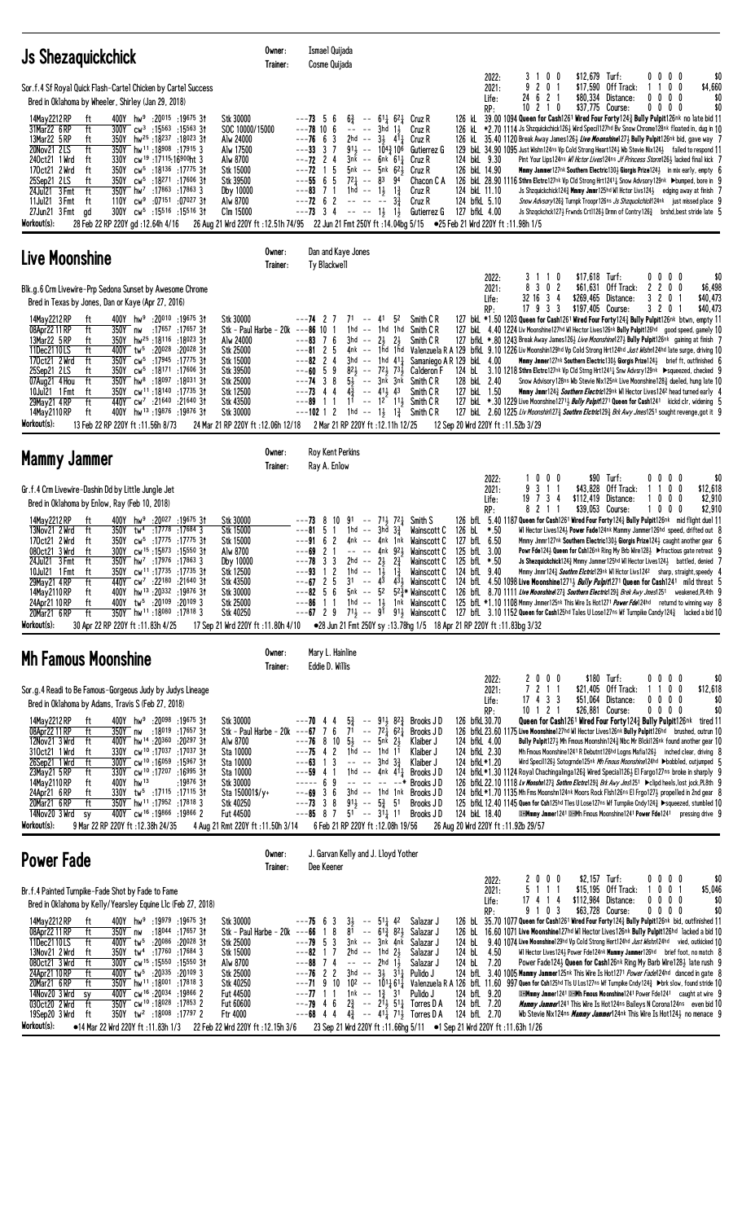| <b>Js Shezaguickchick</b>                                                                                                                                                                                                                                                                                                                                                                                                                                                                                                                                                                                                                                                                                                                                                                                                                                                                                                                                                                            | Owner:<br>Trainer:                                                                                                                                                                                                                 | Ismael Quijada<br>Cosme Quijada                                                                                                                                                                                                                           |                                                                                                                                                                                                                                                                                                                                                                                                                                                                                      |                                                                                                                                                             |                                                          |                                                                                                                                                                                                                                                                                                                                                                                                                                                                                                                                                                                                                                                                                                                                                                                                                                                                                                                                                                                                                                                                                                                                             |                                        |
|------------------------------------------------------------------------------------------------------------------------------------------------------------------------------------------------------------------------------------------------------------------------------------------------------------------------------------------------------------------------------------------------------------------------------------------------------------------------------------------------------------------------------------------------------------------------------------------------------------------------------------------------------------------------------------------------------------------------------------------------------------------------------------------------------------------------------------------------------------------------------------------------------------------------------------------------------------------------------------------------------|------------------------------------------------------------------------------------------------------------------------------------------------------------------------------------------------------------------------------------|-----------------------------------------------------------------------------------------------------------------------------------------------------------------------------------------------------------------------------------------------------------|--------------------------------------------------------------------------------------------------------------------------------------------------------------------------------------------------------------------------------------------------------------------------------------------------------------------------------------------------------------------------------------------------------------------------------------------------------------------------------------|-------------------------------------------------------------------------------------------------------------------------------------------------------------|----------------------------------------------------------|---------------------------------------------------------------------------------------------------------------------------------------------------------------------------------------------------------------------------------------------------------------------------------------------------------------------------------------------------------------------------------------------------------------------------------------------------------------------------------------------------------------------------------------------------------------------------------------------------------------------------------------------------------------------------------------------------------------------------------------------------------------------------------------------------------------------------------------------------------------------------------------------------------------------------------------------------------------------------------------------------------------------------------------------------------------------------------------------------------------------------------------------|----------------------------------------|
| Sor.f.4 Sf Royal Quick Flash-Cartel Chicken by Cartel Success<br>Bred in Oklahoma by Wheeler, Shirley (Jan 29, 2018)<br>400Y hw <sup>9</sup> :20015 :19675 31<br>14May 2212 RP<br>tt<br>ft<br>31Mar22 6RP<br>300Y cw <sup>3</sup> :15 <sup>563</sup> :15 <sup>563</sup> 31<br>13Mar22 5 RP<br>350Y<br>hw <sup>25</sup> :18 <sup>237</sup> :18 <sup>023</sup> 31<br>ft<br>20Nov21 2LS<br>ft<br>hw <sup>11</sup> :18908:179153<br>350Y<br>240ct21 1 Wrd<br>cw <sup>19</sup> :17115:16900ht 3<br>ft<br>330Y<br>170ct21 2 Wrd<br>350Y<br>cw <sup>5</sup> :18 <sup>136</sup> :17 <sup>775</sup> 31<br>ft<br>cw <sup>5</sup> :18271:1760631<br>25Sep21 2LS<br>ft<br>350Y<br>ft<br>24Jul21 3 Fmt<br>$350Y$ hw <sup>7</sup> :17863 :17863 3<br>11Jul21 3 Fmt<br>$cw9$ :07151 :07027 31<br>ft<br>110Y<br>27Jun21 3 Fmt<br>300Y<br>cw <sup>5</sup> :15516 :15516 3†<br>gd<br>Workout(s):<br>28 Feb 22 RP 220Y gd:12.64h 4/16                                                                                   | Stk 30000<br>SOC 10000/15000<br>Alw 24000<br>Alw 17500<br>Alw 8700<br>Stk 15000<br>Stk 39500<br>Dby 10000<br>Alw 8700<br>Clm 15000<br>26 Aug 21 Wrd 220Y ft: 12.51h 74/95 22 Jun 21 Fmt 250Y ft: 14.04bg 5/15                      | $---73 \quad 5$<br>$6\frac{3}{4}$<br>-6<br>$---78$ 10 6<br>$\qquad \qquad \  \  \, - - - -$<br>$---76$ 6 3<br>$---33$ 3 7<br>$---72$ 2 4<br>$--72$ 1 5<br>$---55665$<br>$72\frac{1}{4}$ -- 83<br>$---83$ 7 1<br>$---72$ 6 2<br>$---73$ 3 4                | -- 611 621 Cruz R<br>3hd 1 <del>1</del><br>Cruz R<br>2hd -- $3\frac{1}{2}$ 41<br>Cruz R<br>$91\frac{1}{2}$ -- $10\frac{43}{4}10^6$ Gutierrez G<br>$3nk$ -- $6nk$ $61\frac{1}{4}$<br>Cruz R<br>$5nk$ -- $5nk$ $62\frac{1}{2}$<br>Cruz R<br>94<br>Chacon C A<br>1hd -- $1\frac{1}{2}$<br>$1\frac{3}{4}$<br>Cruz R<br>$3\frac{3}{4}$<br>Cruz R<br>$----131$<br>Gutierrez G                                                                                                              | 2022:<br>2021:<br>Life:<br>RP:<br>124 bkL 9.30<br>126 bkL 14.90<br>124 bkL 11.10<br>124 bfkL 5.10<br>127 bfkL 4.00<br>●25 Feb 21 Wrd 220Y ft:11.98h 1/5     | 3 1 0 0<br>9<br>2 0 1<br>24 6 2 1<br>10<br>21<br>0       | \$12,679 Turf:<br>0000<br>\$17,590<br>$0\quad 0$<br>Off Track:<br>\$80,334<br>$0\ 0\ 0\ 0$<br>Distance:<br>\$37,775 Course:<br>$0\,0\,0\,0$<br>126 kL $\,$ 39.00 1094 Queen for Cash1261 Wired Four Forty124 $\frac{3}{4}$ Bully Pulpit126nk no late bid 11<br>126 kL *2.70 1114 Js Shzquickchick126½ Wird Speci1127hd Bv Snow Chrome128nk floated in, dug in 10<br>126 kL 35.40 1120 Break Away James1263 Live Moonshine1273 Bully Pulpit126nk bid, gave way 7<br>129 bkl 34.90 1095 Just Wishn124ns Vp Cold Strong Heart124½ Wb Stevie Nix124½ failed to respond 11<br>Pint Your Lips124ns WI Hctor Lives124ns Jf Princess Storm126} lacked final kick 7<br><b>Mmmy Jammer127nk Southern Electric1303 Giorgis Prize1243</b> in mix early, empty (<br>126 bkl 28.90 1116 Sthrn Elctrc127nk Vp Cld Strong Hrt1241 <sup>1</sup> Snow Advsory129nk Dumped, bore in 9<br>Js Shzquickchick1243 Mmmy Jmmr125hd WI Hctor Livs1243 edging away at finish<br>Snow Advsory126 <sub>2</sub> Turnpk Troopr126ns <i>Js Shzquckchick</i> 124nk just missed place 9<br>Js Shzqckchck1273 Frwnds Crt11263 Drmn of Contry1263 brshd, best stride late 5     | \$0<br>\$4,660<br>\$0<br>\$0           |
| Live Moonshine                                                                                                                                                                                                                                                                                                                                                                                                                                                                                                                                                                                                                                                                                                                                                                                                                                                                                                                                                                                       | Owner:<br>Trainer:                                                                                                                                                                                                                 | Dan and Kaye Jones<br>Ty Blackwell                                                                                                                                                                                                                        |                                                                                                                                                                                                                                                                                                                                                                                                                                                                                      |                                                                                                                                                             |                                                          |                                                                                                                                                                                                                                                                                                                                                                                                                                                                                                                                                                                                                                                                                                                                                                                                                                                                                                                                                                                                                                                                                                                                             |                                        |
| Blk.g.6 Crm Livewire-Prp Sedona Sunset by Awesome Chrome<br>Bred in Texas by Jones, Dan or Kaye (Apr 27, 2016)<br>14May 2212 RP<br>400Y hw <sup>9</sup> :20010 :19675 31<br>ft<br>08Apr22 11 RP<br>ft<br>:17657 :17657 31<br>350Y nw<br>13Mar22 5 RP<br>350Y hw <sup>25</sup> :18116 :18023 31<br>ft<br>11Dec2110LS<br>ft<br>400Y tw <sup>5</sup> :20028 :20028 31<br>170ct21 2 Wrd<br>ft<br>350Y cw <sup>5</sup> :17945<br>:17775 31<br>cw <sup>5</sup> :18171<br>:17606 31<br>25Sep21 2LS<br>ft<br>350Y<br>ft<br>350Y hw <sup>8</sup> :18097 :18031 31<br>07Aug21 4 Hou<br>10Jul21 1 Fmt<br>cw <sup>11</sup> :18140:17735 31<br>ft<br>350Y<br>ft<br>440Y cw <sup>7</sup> :21640 :21640 31<br>29May21 4RP<br>400Y hw <sup>13</sup> :19876:1987631<br>14May 2110 RP<br>ft<br>Workout(s):<br>13 Feb 22 RP 220Y ft : 11.56h 8/73                                                                                                                                                                       | Stk 30000<br>Stk - Paul Harbe - $20k$ ---86 10<br>Alw 24000<br>Stk 25000<br>Stk 15000<br><b>Stk 39500</b><br>Stk 25000<br>Stk 12500<br><b>Stk 43500</b><br>Stk 30000<br>24 Mar 21 RP 220Y ft: 12.06h 12/18                         | ---74 2<br>---83<br>76<br>$---8125$<br>$---82$ 2 4<br>3hd<br>821<br>$---60$ 5 9<br>$---74$ 3 8<br>$---73$ 4 4<br>$4\frac{3}{4}$<br>---89<br>-1-1<br>1hd -- $1\frac{1}{2}$<br>$---102$ 1 2<br>2 Mar 21 RP 220Y ft: 12.11h 12/25                            | $71 - - 41$<br>52<br>Smith C R<br>1hd -- 1hd<br>1hd<br>Smith C <sub>R</sub><br>$3hd -23$<br>-21<br>Smith C R<br>$--$ 1hd 411<br>$-- 72\frac{1}{2}$ 73<br>Calderon F<br>$5\frac{1}{2}$ -- $3n\bar{k}$ $3n\bar{k}$<br>Smith C R<br>$--$ 41 $\frac{1}{2}$ 43<br>Smith C <sub>R</sub><br>$1^{\frac{7}{1}}$ -- $1^{\frac{3}{2}}$ $1^{\frac{11}{2}}$<br>Smith C R<br>Smith C R<br>$1\frac{3}{4}$                                                                                           | 2022:<br>2021:<br>Life:<br>RP:<br>Samaniego A R 129 bkL 4.00<br>124 bL<br>128 bkL 2.40<br>127 bkL 1.50<br>12 Sep 20 Wrd 220Y ft: 11.52b 3/29                | 31<br>$1\quad 0$<br>8 3 0 2<br>32 16 3 4<br>17933        | \$17.618 Turf:<br>$0\,0\,0\,0$<br>\$61,631<br>Off Track:<br>2200<br>\$269,465<br>Distance:<br>3<br>$\mathbf{2}$<br>0<br>\$197,405 Course:<br>3 2 0<br>127 bkl. *1.50 1203 Queen for Cash1261 Wired Four Forty1243 Bully Pulpit126nk btwn, empty 11<br>127 bkl 4.40 1224 Liv Moonshine127hd WI Hector Lives126nk Bully Pulpit126hd good speed, gamely 10<br>127 bfkL *.80 1243 Break Away James1263 Live Moonshine1273 Bully Pulpit126nk gaining at finish 7<br>4nk -- 1hd 1hd Valenzuela R A 129 bfkl 9.10 1226 Liv Moonshin129hd Vp Cold Strong Hrt124hd Just Wishn124hd late surge, driving 10<br>Mmmy Jmmer127nk Southern Electric130} Giorgis Prize124} brief ft, outfinished f<br>3.10 1218 Sthrn Eletrc127nk Vp Cld Strng Hrt12411 Snw Advsry129nk ▶squeezed, checked 9<br>Snow Advisory128ns Wb Stevie Nix125nk Live Moonshine128} dueled, hung late 10<br>Mmmy Jmmr1243 Southern Electric129nk WI Hector Lives1242 head turned early 4<br>30 1229 Live Moonshine 12713 Bully Pulpit 271 Queen for Cash1241 kickd c1r, widening<br>127 bkl. 2.60 1225 Liv Moonshin1273 Southrn Eletric1293 Brk Awy Jmes1251 sought revenge, got it 9 | \$0<br>\$6,498<br>\$40,473<br>\$40,473 |
| <b>Mammy Jammer</b>                                                                                                                                                                                                                                                                                                                                                                                                                                                                                                                                                                                                                                                                                                                                                                                                                                                                                                                                                                                  | Owner:<br>Trainer:                                                                                                                                                                                                                 | <b>Roy Kent Perkins</b><br>Ray A. Enlow                                                                                                                                                                                                                   |                                                                                                                                                                                                                                                                                                                                                                                                                                                                                      |                                                                                                                                                             |                                                          |                                                                                                                                                                                                                                                                                                                                                                                                                                                                                                                                                                                                                                                                                                                                                                                                                                                                                                                                                                                                                                                                                                                                             |                                        |
| Gr.f.4 Crm Livewire-Dashin Dd by Little Jungle Jet<br>Bred in Oklahoma by Enlow, Ray (Feb 10, 2018)<br>14May 2212 RP<br>hw <sup>9</sup> :20 <sup>027</sup> :19 <sup>675</sup> 31<br>ft<br>400Y -<br>13Nov21 2 Wrd<br>ft<br>350Y<br>tw <sup>4</sup> :1778:176843<br>170ct21 2 Wrd<br>350Y cw <sup>5</sup> :17775 :17775 3t<br>ft<br>cw <sup>15</sup> :15873 :15550 31<br>080ct21 3 Wrd<br>ft<br>300Y<br>24Jul21 3 Fmt<br>ft<br>$350Y$ hw <sup>7</sup> :17976 :17863 3<br>cw <sup>11</sup> :17735 :17735 31<br>ft<br>350Y<br>10Ju121 1 Fmt<br>440Y<br>:22180 :21640 31<br>29May21 4RP<br>$cw^7$<br>ft<br>400Y hw <sup>13</sup> :20332:19876 3t<br>14May 2110 RP<br>ft<br>tw <sup>5</sup> :20109 :20109 3<br>24Apr21 10 RP<br>ft<br>400Y<br>350Y hw <sup>11</sup> :18080 :17818 3<br>20Mar21 6 RP<br>ft<br>Workout(s):<br>30 Apr 22 RP 220Y ft: 11.83h 4/25                                                                                                                                             | Stk 30000<br>Stk 15000<br>Stk 15000<br>Alw 8700<br>Dby 10000<br>Stk 12500<br>Stk 43500<br><b>Stk 30000</b><br>Stk 25000<br>Stk 40250<br>17 Sep 21 Wrd 220Y ft: 11.80h 4/10                                                         | $---73$ 8<br>10<br>51<br>---81<br>$---9162$<br>2 <sub>1</sub><br>---69<br>---78 3 3<br>1hd<br>---93<br>1 <sub>2</sub><br>$---67$ 2 5<br>3 <sup>1</sup><br>$---82 \quad 5 \quad 6$<br>$1\quad1$<br>---86<br>$---67$ 2 9                                    | $91 - 71$ , $72$<br>Smith S<br>1hd -- 3hd $3\frac{3}{4}$<br>Wainscott C<br>4nk -- 4nk 1nk<br>Wainscott C<br>$-- -4nk$ 921<br>Wainscott C<br>$2\frac{3}{4}$<br>$2hd -23$<br>Wainscott C<br>-- $1\frac{1}{2}$ $1\frac{3}{4}$ Wainscott C<br>-- $4^{\frac{1}{3}}$ $4^{\frac{3}{2}}$ Wainscott C<br>5nk -- 5 <sup>2</sup> 5 <sup>2</sup> $\frac{3}{4}$ * Wainscott C<br>1hd $--$ 1 $\frac{1}{2}$ 1nk Wainscott C<br>●28 Jun 21 Fmt 250Y sy:13.78hg 1/5 18 Apr 21 RP 220Y ft:11.83bg 3/32 | 2022:<br>2021:<br>Life:<br>RP:<br>126 bL *.50<br>127 bfL 6.50<br>125 bfL 3.00<br>125 bfL *.50<br>124 bfL 9.40                                               | $0\quad 0$<br>0<br>3 1 1<br>9<br>734<br>19<br>821        | \$90 Turf:<br>00<br>$0\quad 0$<br>\$43.828<br>Off Track:<br>0<br>0<br>$0\ 0\ 0$<br>\$112,419 Distance:<br>\$39,053 Course:<br>10<br>00<br>126 bfl. 5.40 1187 Queen for Cash1261 Wired Four Forty1243 Bully Pulpit126nk mid flight duel 11<br>WI Hector Lives1243 Power Fade124nk Mammy Jammer126hd speed, drifted out 8<br>Mmmy Jmmr127nk Southern Electric130} Giorgis Prize124} caught another gear 6<br>Powr Fde124} Queen for Csh126nk Ring My Brb Wire128} ▶ fractious gate retreat 9<br>Js Shezquickchick124} Mmmy Jammer125hd WI Hector Lives124} battled, denied 7<br>Mmmy Jmmr1243 Southrn Eletric129nk WI Hetor Livs1242 sharp, straight, speedy 4<br>124 bfl. 4.50 1098 Live Moonshine12713 Bully Pulpit1271 Queen for Cash1241 mild threat 5<br>126 bfl 8.70 1111 Live Moonshine 27% Southern Electric 29% Brek Awy Jmes1251 weakened, PL4th 9<br>125 bfl *1.10 1108 Mmmy Jmmer125nk This Wire Is Hot1271 Power Fde124hd returnd to winning way 8<br>$71\frac{1}{2}$ $ 91$ $91\frac{1}{2}$ Wainscott C $\,$ 127 bfl $\,$ 3.10 1152 Queen for Cash125hd Tales U Lose127ns Wf Turnpike Candy124 $\frac{3}{4}$ lacked a bid 10     | \$0<br>\$12,618<br>\$2,910<br>\$2,910  |
| <b>Mh Famous Moonshine</b>                                                                                                                                                                                                                                                                                                                                                                                                                                                                                                                                                                                                                                                                                                                                                                                                                                                                                                                                                                           | Owner:<br>Trainer:                                                                                                                                                                                                                 | Mary L. Hainline<br>Eddie D. Willis                                                                                                                                                                                                                       |                                                                                                                                                                                                                                                                                                                                                                                                                                                                                      |                                                                                                                                                             |                                                          |                                                                                                                                                                                                                                                                                                                                                                                                                                                                                                                                                                                                                                                                                                                                                                                                                                                                                                                                                                                                                                                                                                                                             |                                        |
| Sor.g. 4 Readi to Be Famous-Gorgeous Judy by Judys Lineage<br>Bred in Oklahoma by Adams, Travis S (Feb 27, 2018)<br>14May 2212 RP<br>400Y hw <sup>9</sup> :20 <sup>098</sup> :19675 31<br>ft<br>:18019 :17657 31<br>08Apr22 11 RP<br>ft<br>350Y<br>nw<br>12Nov21 3 Wrd<br>400Y hw <sup>14</sup> :20 <sup>360</sup> :20 <sup>297</sup> 31<br>ft<br>330Y cw <sup>10</sup> :17037 :17037 3t<br>310ct21 1 Wrd<br>ft<br>300Y cw <sup>10</sup> :16059 :15967 3t<br>26Sep21 1 Wrd<br>ft<br>330Y cw <sup>10</sup> :17207 :16995 31<br>ft<br>23May21 5 RP<br>14May 2110 RP<br>ft<br>400Y hw <sup>13</sup><br>:19876 31<br>24Apr21 6RP<br>330Y tw <sup>5</sup> :17115 :17115 31<br>ft<br>20Mar21 6RP<br>ft<br>350Y hw <sup>11</sup> :17952 :17818 3<br>400Y cw <sup>16</sup> :19866:198662<br>14Nov20 3 Wrd<br>sy<br>Workout(s):<br>9 Mar 22 RP 220Y ft : 12.38h 24/35                                                                                                                                         | Stk 30000<br>Stk - Paul Harbe - 20k ---67 7 6 $7^{\frac{2}{1}}$ --<br>Alw 8700<br>Sta 10000<br>Sta 10000<br>Sta 10000<br>Stk 30000<br>Sta 150001\$/y+<br><b>Stk 40250</b><br><b>Fut 44500</b><br>4 Aug 21 Rmt 220Y ft: 11.50h 3/14 | $5\frac{3}{4}$<br>---70 44<br>$---76$ 8 10 $5\frac{1}{2}$ -- $5nk$ $2\frac{1}{2}$<br>$---75$ 4 2 1hd $---$ 1hd 1 <sup>1</sup><br>$---63$ 1 3<br>$---59$ 4 1<br>$--- 69$<br>$---69$ 3 6<br>---73<br>38<br>$---85$ 8 7<br>6 Feb 21 RP 220Y ft: 12.08h 19/56 | $--$ 911 823<br>Brooks J D<br>$7^2\overline{)1}$ 6 <sup>2</sup> $\overline{)}$<br>Brooks JD<br>Klaiber J<br>Klaiber J<br>$--- 3hd 33/7$<br>Klaiber J<br>1hd $--$ 4nk 411 Brooks JD<br>$--- - - - - - +$<br>Brooks JD<br>$3hd - - 1hd$ 1nk $Brooks JD$<br>$91\frac{1}{2}$ -- $5\frac{3}{4}$ 51<br>Brooks JD<br>$51 - 31/2 11$<br>Brooks JD                                                                                                                                            | 2022:<br>2021:<br>Life:<br>RP:<br>126 bfkL 30.70<br>124 bfkL 4.00<br>124 bfkL 2.30<br>124 bfkL*1.20<br>124 bkL 18.40<br>26 Aug 20 Wrd 220Y ft: 11.92b 29/57 | 2000<br>7 2 1 1<br>$17$ 4 3 3<br>$10$ 1 2 1              | \$180 Turf:<br>0000<br>1100<br>\$21,405 Off Track:<br>\$51,064 Distance:<br>0000<br>\$26,881 Course:<br>$0\,0\,0\,0$<br>Queen for Cash1261 Wired Four Forty1243 Bully Pulpit126nk tired 11<br>126 bfkL 23.60 1175 Live Moonshine127hd WI Hector Lives126nk Bully Pulpit126hd brushed, outrun 10<br>Bully Pulpit1273 Mh Fmous Moonshin1243 Nbc Mr Blcki126nk found another gear 10<br>Mh Fmous Moonshine1241 R Debutnt126hd Logns Mafia1263 inched clear, driving 8<br>Wird Speci1126} Sotogrnde125nk Mh Fmous Moonshine124hd ▶bobbled, outjumped 5<br>124 bfkL *1.30 1124 Royal Chachingalinga1263 Wired Special1263 El Fargo127ns broke in sharply 9<br>126 bfkL 22.10 1118 Lv Monshn1273 Sothrn Elctrc1293 Brk Awy Jms1251 ▶ clipd heels, lost jock, PL8th 9<br>124 bfkL *1.70 1135 Mh Fms Moonshn124nk Moors Rock Flsh126ns El Frgo1273 propelled in 2nd gear 8<br>125 bfkL 12.40 1145 Quen for Csh125hd Tles U Lose127ns Wf Turnpike Cndy124½ ▶squeezed, stumbled 10<br><b>DHMmmy Jmmer1241 DHMh Fmous Moonshine1241 Power Fde1241</b> pressing drive 9                                                                                 | \$0<br>\$12,618<br>\$0<br>\$0          |
| <b>Power Fade</b>                                                                                                                                                                                                                                                                                                                                                                                                                                                                                                                                                                                                                                                                                                                                                                                                                                                                                                                                                                                    | Owner:<br>Trainer:                                                                                                                                                                                                                 | J. Garvan Kelly and J. Lloyd Yother<br>Dee Keener                                                                                                                                                                                                         |                                                                                                                                                                                                                                                                                                                                                                                                                                                                                      |                                                                                                                                                             |                                                          |                                                                                                                                                                                                                                                                                                                                                                                                                                                                                                                                                                                                                                                                                                                                                                                                                                                                                                                                                                                                                                                                                                                                             |                                        |
| Br.f.4 Painted Turnpike-Fade Shot by Fade to Fame<br>Bred in Oklahoma by Kelly/Yearsley Equine Llc (Feb 27, 2018)<br>14May 2212 RP<br>400Y hw <sup>9</sup> :19979 :19675 31<br>ft<br>08Apr22 11 RP<br>ft<br>:18044 :17657 31<br>350Y nw<br>11Dec2110LS<br>ft<br>400Y tw <sup>5</sup> :20086<br>:20 <sup>028</sup> 31<br>13Nov21 2 Wrd<br>350Y tw <sup>4</sup> :17 <sup>760</sup> :17684 3<br>ft<br>080ct21 3 Wrd<br>ft<br>$300Y$ cw <sup>15</sup> :15550 :15550 31<br>24Apr21 10 RP<br>400Y tw <sup>5</sup> :20 <sup>335</sup> :20 <sup>109</sup> 3<br>ft<br>350Y hw <sup>11</sup> :18001:17818 3<br>20Mar21 6 RP<br>ft<br>400Y CW <sup>16</sup> :20034 :19866 2<br>14Nov20 3 Wrd<br>sy<br>350Y cw <sup>10</sup> :18028:178532<br>030ct20 2 Wrd<br>ft<br>350Y tw <sup>2</sup> :18008 :17797 2<br>19Sep20 3 Wrd<br>ft<br>Workout(s):<br>$\bullet$ 14 Mar 22 Wrd 220Y ft ·11 83b 1/3 22 Feb 22 Wrd 220Y ft ·12 15b 3/6 23 Sep 21 Wrd 220Y ft ·11 66bg 5/11 $\bullet$ 1 Sep 21 Wrd 220Y ft ·11 63b 1/26 | Stk 30000<br>Stk - Paul Harbe - 20 $k$ ---66<br><b>Stk 25000</b><br>Stk 15000<br>Alw 8700<br>Stk 25000<br>Stk 40250<br>Fut 44500<br>Fut 60600<br>Ftr 4000                                                                          | $3\frac{1}{2}$<br>$---75$ 6 3<br>81<br>8<br>$\mathbf{1}$<br>$---79$ 5 3<br>2hd<br>1 7<br>---82<br>$---88$ 7 4<br>$---76$ 2 2<br>$---71$ 9 10<br>$---77$ 1 1<br>$---79$ 4 6<br>$2\frac{3}{4}$<br>$---68$ 4 4                                               | $--$ 51 $\frac{1}{4}$ 42<br>Salazar J<br>$61\frac{3}{4}$ 821<br>Salazar J<br>$- -$<br>3nk -- 3nk 4nk<br>Salazar J<br>$--$ 1hd $2\frac{1}{2}$<br>Salazar J<br>$---$ 2hd $1\frac{1}{2}$<br>Salazar J<br>$3hd$ -- $3\frac{1}{2}$ $31\frac{1}{4}$<br>Pulido J<br>$10^2$ -- $10^{11}6^{11}$<br>1nk -- 1 $\frac{3}{4}$ 31<br>Pulido J<br>-- 211, 511, Torres D A<br>$4\frac{3}{4}$ -- $41\frac{1}{4}$ 71 <sup>2</sup> / <sub>2</sub> Torres D A                                            | 2022:<br>2021:<br>Life:<br>RP:<br>124 bL<br>124 bL<br>4.50<br>124 bL 7.20<br>124 bfL 9.20<br>124 bfL 7.20<br>124 bfL 2.70                                   | $0\quad 0\quad 0$<br>2<br>5 1 1 1<br>17 4 1 4<br>9 1 0 3 | \$2,157 Turf:<br>$0\ 0\ 0\ 0$<br>\$15,195 Off Track:<br>0 <sub>1</sub><br>10<br>\$112,984 Distance:<br>0000<br>\$63,728 Course:<br>0000<br>126 bl. 35.70 1077 Queen for Cash1261 Wired Four Forty1243 Bully Pulpit126nk bid, outfinished 11<br>126 bl. 16.60 1071 Live Moonshine127hd WI Hector Lives126nk Bully Pulpit126hd lacked a bid 10<br>9.40 1074 Live Moonshine129hd Vp Cold Strong Hert124hd Just Wishn124hd vied, outkicked 10<br>WI Hector Lives1243 Power Fde124nk Mammy Jammer126hd brief foot, no match 8<br>Power Fade124} Queen for Cash126nk Ring My Barb Wire128} late rush 9<br>124 bfl. 3.40 1005 Mammy Jammer125nk This Wire Is Hot1271 Power Fade124hd danced in gate 8<br>Valenzuela R A 126 bfL 11.60 997 Quen for Csh125hd TIs U Los127ns Wf Turnpike Cndy124 $\frac{3}{4}$ >brk slow, found stride 10<br><b>DHMmmy Jmmer1241 DHMh Fmous Moonshine1241 Power Fde1241</b> caught at wire 9<br><b>Mammy Jammer</b> 1241 This Wire Is Hot 124ns Baileys N Corona 124ns even bid 10<br>Wb Stevie Nix124ns <i>Mammy Jammer</i> 124nk This Wire Is Hot124½ no menace 9                                                  | \$0<br>\$5,046<br>\$0<br>\$0           |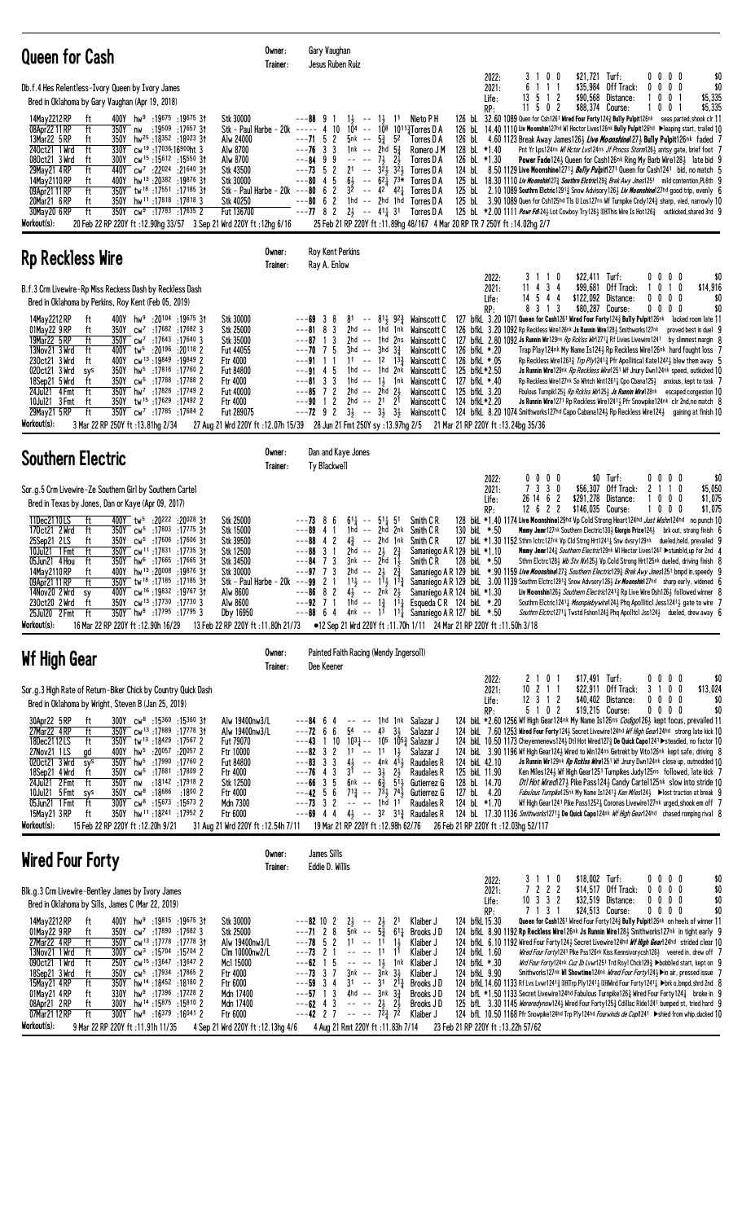| <b>Queen for Cash</b>                                                                                                                                                                                                                                                                                                                                                                                                                                                                                                                                                                                                                                                                                                                                                                                                                                                         | Owner:<br>Trainer:                                                                                                                                                                       | Gary Vaughan<br>Jesus Ruben Ruiz                                                                                                                                                                                                                                                                                                                      |                                                                                                                                                                                                                                                                                                                                                                                                                                                                                                                                        |                                                                                                                                                         |                                                                                                                 |                                                                                                                                                                                                                                                                                                                                                                                                                                                                                                                                                                                                                                                                                                                                                                                                                                                                                                                                                                                                                                                                                                                                                                                                                                                                                                                         |
|-------------------------------------------------------------------------------------------------------------------------------------------------------------------------------------------------------------------------------------------------------------------------------------------------------------------------------------------------------------------------------------------------------------------------------------------------------------------------------------------------------------------------------------------------------------------------------------------------------------------------------------------------------------------------------------------------------------------------------------------------------------------------------------------------------------------------------------------------------------------------------|------------------------------------------------------------------------------------------------------------------------------------------------------------------------------------------|-------------------------------------------------------------------------------------------------------------------------------------------------------------------------------------------------------------------------------------------------------------------------------------------------------------------------------------------------------|----------------------------------------------------------------------------------------------------------------------------------------------------------------------------------------------------------------------------------------------------------------------------------------------------------------------------------------------------------------------------------------------------------------------------------------------------------------------------------------------------------------------------------------|---------------------------------------------------------------------------------------------------------------------------------------------------------|-----------------------------------------------------------------------------------------------------------------|-------------------------------------------------------------------------------------------------------------------------------------------------------------------------------------------------------------------------------------------------------------------------------------------------------------------------------------------------------------------------------------------------------------------------------------------------------------------------------------------------------------------------------------------------------------------------------------------------------------------------------------------------------------------------------------------------------------------------------------------------------------------------------------------------------------------------------------------------------------------------------------------------------------------------------------------------------------------------------------------------------------------------------------------------------------------------------------------------------------------------------------------------------------------------------------------------------------------------------------------------------------------------------------------------------------------------|
| Db.f.4 Hes Relentless-Ivory Queen by Ivory James<br>Bred in Oklahoma by Gary Vaughan (Apr 19, 2018)<br>400Y hw <sup>9</sup> :19675 :19675 31<br>14May 2212 RP<br>ft<br>350Y nw<br>:19509 :17657 3†<br>08Apr22 11 RP<br>ft<br>13Mar22 5 RP<br>350Y hw <sup>25</sup> :18352:18023 31<br>ft<br>cw <sup>19</sup> :17036:16900ht 3<br>240ct21 1 Wrd<br>ft<br>330Y<br>300Y cw <sup>15</sup> :15612 :15550 31<br>080ct21 3 Wrd<br>ft<br>29May21 4RP<br>ft<br>440Y cw <sup>7</sup> :22024 :21640 31<br>14May 2110 RP<br>hw <sup>13</sup> :20 <sup>382</sup> :19876.31<br>ft<br>400Y<br>ft<br>09Apr21 11 RP<br>350Y tw <sup>18</sup> :17551 :17185 31<br>hw <sup>11</sup> :17818:178183<br>20Mar21 6RP<br>350Y<br>ft<br>ft<br>30May20 6RP<br>350Y cw <sup>9</sup> :17783 :17635 2<br>Workout(s):<br>20 Feb 22 RP 220Y ft: 12.90hg 33/57 3 Sep 21 Wrd 220Y ft: 12hg 6/16                | <b>Stk 30000</b><br>Stk - Paul Harbe - 20k<br>Alw 24000<br>Alw 8700<br>Alw 8700<br>Stk 43500<br>Stk 30000<br>Stk - Paul Harbe - $20k$ ---80 6 2<br>Stk 40250<br>Fut 136700               | ---88 9<br>10<br>$\sim$ $-$<br>$--- 4$<br>104<br>$---715$<br>$\mathbf{2}$<br>5nk -- $5\frac{3}{4}$<br>$---76$ 3 3<br>$---84$ 9 9<br>$---73$ 5 2<br>2 <sup>1</sup><br>$--80$ 4 5<br>$---80$ 6 2<br>---77 8 2 $2\frac{1}{2}$ -- $4^{11}_{4}$ 3 <sup>1</sup> Torres D A                                                                                  | $1\frac{1}{2}$ -- $1\frac{1}{2}$ 11<br>Nieto P H<br>108<br>10113Torres D A<br>52<br>Torres D A<br>1nk -- 2hd $5\frac{3}{4}$<br>Romero J M<br>$-- -7\frac{1}{2}$ $2\frac{1}{2}$<br>Torres D A<br>$-$ 321 $\frac{1}{32}$<br>Torres D A<br>$6\frac{1}{2}$ -- $62\frac{1}{4}$ 73*<br>Torres D A<br>$3^{\overline{2}}$ -- 42 42 <sup>1</sup> Torres D A<br>1hd -- 2hd 1hd<br>Torres D A<br>25 Feb 21 RP 220Y ft :11.89hg 48/167 4 Mar 20 RP TR 7 250Y ft :14.02hg 2/7                                                                       | 2022:<br>2021:<br>Life:<br>RP:<br>128 bL $*1.40$<br>126 bL *1.30<br>124 bL                                                                              | 3100<br>6 1 1 1<br>$5 \t1 \t2$<br>\$90,568<br>13<br>11 5 0 2                                                    | $$21,721$ Turf:<br>$0\,0\,0\,0$<br>\$0<br>\$35,984 Off Track:<br>\$0<br>0<br>$0\,0\,0$<br>0 <sub>1</sub><br>Distance:<br>0<br>\$5,335<br>\$5,335<br>\$88,374 Course:<br>0<br>0<br>126 bl 32.60 1089 Quen for Csh1261 Wired Four Forty124 $\frac{3}{4}$ Bully Pulpit126nk seas parted, shook clr 11<br>126 bl 14.40 1110 Liv Moonshin127hd WI Hector Lives126nk Bully Pulpit126hd Dleaping start, trailed 10<br>126 bL  4.60 1123 Break Away James1263 <i>Live Moonshine</i> 1273 Bully Pulpit126nk faded 7<br>Pnt Yr Lps124ns WI Hctor Lvs124ns Jf Prncss Storm1261 antsy gate, brief foot 7<br><b>Power Fade</b> 1243 Queen for Cash126nk Ring My Barb Wire 1283 late bid 9<br>8.50 1129 Live Moonshine12713 <i>Bully Pulpit</i> 1271 Queen for Cash1241 bid, no match 5<br>125 bl. 18.30 1110 Liv Moonshin1273 Southrn Eletric1293 Brek Awy Jmes1251 mild contention, PL6th 9<br>125 bl. 2.10 1089 Southrn Eletric1291 <sup>3</sup> Snow Advisory1263 Liv Noonshine127hd good trip, evenly 6<br>125 bl. 3.90 1089 Quen for Csh125hd Tls U Los127ns Wf Turnpike Cndy124 $\frac{3}{4}$ sharp, vied, narrowly 10<br>125 bl. *2.00 1111 Powr Fd124} Lot Cowboy Try126} DE This Wire Is Hot1263 outkicked, shared 3rd 9                                                                                                    |
| <b>Rp Reckless Wire</b>                                                                                                                                                                                                                                                                                                                                                                                                                                                                                                                                                                                                                                                                                                                                                                                                                                                       | Owner:<br>Trainer:                                                                                                                                                                       | <b>Roy Kent Perkins</b><br>Ray A. Enlow                                                                                                                                                                                                                                                                                                               |                                                                                                                                                                                                                                                                                                                                                                                                                                                                                                                                        |                                                                                                                                                         |                                                                                                                 |                                                                                                                                                                                                                                                                                                                                                                                                                                                                                                                                                                                                                                                                                                                                                                                                                                                                                                                                                                                                                                                                                                                                                                                                                                                                                                                         |
| B.f.3 Crm Livewire-Rp Miss Reckess Dash by Reckless Dash<br>Bred in Oklahoma by Perkins, Roy Kent (Feb 05, 2019)<br>14May 2212 RP<br>400Y hw <sup>9</sup> :20104 :19675 31<br>ft<br>01May22 9RP<br>ft<br>350Y<br>$cw^7$ :17682 :17682 3<br>19Mar22 5 RP<br>350Y cw <sup>7</sup> :17643 :17640 3<br>ft<br>13Nov21 3 Wrd<br>ft<br>400Y tw <sup>5</sup> :20196 :20118 2<br>CW <sup>13</sup> :19849:19849 2<br>230ct21 3 Wrd<br>400Y<br>ft<br>350Y hw <sup>5</sup> :17816 :17760 2<br>020ct21 3 Wrd<br>sys<br>350Y<br>cw <sup>5</sup> :17 <sup>788</sup> :17 <sup>788</sup> 2<br>18Sep21 5 Wrd<br>ft<br>24Jul21 4 Fmt<br>ft<br>350Y hw <sup>7</sup> :17828 :17749 2<br>350Y tw <sup>15</sup> :17629:174922<br>10Jul21 3 Fmt<br>ft<br>350Y cw <sup>7</sup> :17785 :17684 2<br>29May21 5 RP<br>ft<br>Workout(s):<br>3 Mar 22 RP 250Y ft :13.81hg 2/34                               | Stk 30000<br>Stk 25000<br>Stk 35000<br>Fut 44055<br>Ftr 4000<br><b>Fut 84800</b><br>Ftr 4000<br>Fut 40000<br>Ftr 4000<br>Fut 289075                                                      | $---69$ 3<br>8<br>$---818$<br>3<br>2hd<br>---87<br>3<br>$---70$ 7 5<br>11<br>---91<br>-1-1<br>$---91$ 4 5<br>$---81 \quad 3 \quad 3$<br>$--85$ 7 2<br>1 <sub>2</sub><br>---90<br>$---72$ 9 2 $3\frac{1}{2}$ $---3\frac{1}{2}$ $3\frac{1}{2}$                                                                                                          | 81 -- 814 92 <sup>3</sup> / <sub>4</sub> Wainscott C<br>2hd -- 1hd 1nk<br>Wainscott C<br>-- 1hd 2ns<br>Wainscott C<br>$3hd$ -- $3hd$ $3\frac{3}{4}$<br>Wainscott C<br>$--$ 12 13 $\frac{3}{4}$<br>Wainscott C<br>1hd -- 1hd 2nk<br>Wainscott C<br>1hd -- $1\frac{1}{2}$ 1nk<br>Wainscott C<br>2hd -- $2\bar{h}d$ $2\frac{1}{2}$<br>Wainscott C<br>$2hd -- 21 21$<br>Wainscott C<br>Wainscott C<br>27 Aug 21 Wrd 220Y ft : 12.07h 15/39 28 Jun 21 Fmt 250Y sy : 13.97hg 2/5 21 Mar 21 RP 220Y ft : 13.24bg 35/36                        | 2022:<br>2021:<br>Life:<br>RP:<br>126 bfkL *.20<br>126 bfkL *.05<br>125 bfkL*2.50<br>127 bfkL *.40<br>125 bfkL 3.20<br>124 bfkL*2.20                    | 3110<br>11 4 3 4<br>14   5   4   4<br>8313<br>Fbulous Turnpik125½ <i>Rp Rck1ss Wir</i> 125½ Js Runnin Wire128nk | \$22,411 Turf:<br>0000<br>\$0<br>\$99,681 Off Track:<br>1010<br>\$14,916<br>\$122,092 Distance:<br>$0\ 0\ 0\ 0$<br>\$0<br>$0\,0\,0\,0$<br>\$0<br>\$80,287 Course:<br>127 bfkl. 3.20 1071 Queen for Cash1261 Wired Four Forty124 $\frac{3}{4}$ Bully Pulpit126nk lacked room late 11<br>126 bfkl 3.20 1092 Rp Reckless Wire126nk Js Runnin Wire128} Smithworks127nk proved best in duel 9<br>127 bfkl. 2.80 1092 Js Runnin Wir129ns Rp Rcklss Wir1271 <sup>1</sup> Rf Livies Livewire1241 by slimmest margin 8<br>Trap Play124nk My Name Is1243 Rp Reckless Wire126nk hard fought loss 7<br>Rp Reckless Wire12633 <i>Trp Ply</i> 12413 Pfr Apollitical Kate12423 blew them away 5<br>Js Runnin Wire129nk Rp Reckless Wire1251 Wf Jnury Dwn124nk speed, outkicked 10<br>Rp Reckless Wire127nk So Whtch Wnt1261 $\frac{1}{4}$ Cpo Cbana125 $\frac{1}{2}$ anxious, kept to task 7<br>escaped congestion 10<br>Js Runnin Wire1271 Rp Reckless Wire12413 Pfr Snowpike124nk clr 2nd,no match 8<br>124 bfkL 8.20 1074 Smithworks127hd Capo Cabana1243 Rp Reckless Wire1243 gaining at finish 10                                                                                                                                                                                                                                 |
| <b>Southern Electric</b>                                                                                                                                                                                                                                                                                                                                                                                                                                                                                                                                                                                                                                                                                                                                                                                                                                                      | Owner:<br>Trainer:                                                                                                                                                                       | Dan and Kaye Jones<br>Ty Blackwell                                                                                                                                                                                                                                                                                                                    |                                                                                                                                                                                                                                                                                                                                                                                                                                                                                                                                        |                                                                                                                                                         |                                                                                                                 |                                                                                                                                                                                                                                                                                                                                                                                                                                                                                                                                                                                                                                                                                                                                                                                                                                                                                                                                                                                                                                                                                                                                                                                                                                                                                                                         |
| Sor.g.5 Crm Livewire-Ze Southern Girl by Southern Cartel<br>Bred in Texas by Jones, Dan or Kaye (Apr 09, 2017)<br>11Dec2110LS<br>ft<br>400Y tw <sup>5</sup> :20 <sup>222</sup> :20 <sup>028</sup> 31<br>170ct21 2 Wrd<br>ft<br>350Y cw <sup>5</sup> :17803 :17775 31<br>25Sep21 2LS<br>350Y cw <sup>5</sup> :17606 :17606 31<br>ft<br>350Y cw <sup>11</sup> :17831 :17735 31<br>10Jul21 1 Fmt<br>ft<br>05Jun21 4 Hou<br>ft<br>350Y hw <sup>6</sup> :17665 :17665 31<br>400Y hw <sup>13</sup> :20008:19876 3t<br>14May2110RP<br>ft<br>09Apr21 11 RP<br>ft<br>350Y tw <sup>18</sup> :17 <sup>185</sup> :17 <sup>185</sup> 31<br>400Y cw <sup>16</sup> :19832 :19767 31<br>14Nov20 2 Wrd<br>sy<br>350Y cw <sup>13</sup> :17730:177303<br>230ct20 2 Wrd<br>ft<br>25Jul20 2 Fmt<br>350Y hw <sup>8</sup> :17795 :17795 3<br>ft<br>Workout(s):<br>16 Mar 22 RP 220Y ft: 12.90h 16/29 | Stk 25000<br>Stk 15000<br>Stk 39500<br>Stk 12500<br>Stk 34500<br>Stk 30000<br>Stk - Paul Harbe - 20 $k$ ---99<br>Alw 8600<br>Alw 8600<br>Dby 16950<br>13 Feb 22 RP 220Y ft: 11.80h 21/73 | $---73$ 8 6<br>1hd<br>$---89$ 4 1<br>$4\frac{3}{7}$<br>$---8842$<br>$\sim$ $-$<br>2hd<br>---88<br>3<br>$\sim$ $-$<br>$--84$ 7 3<br>3nk --<br>$--97$ 7 3<br>2hd<br>21<br>$--92$ 7 1<br>$---88$ 6 4                                                                                                                                                     | $61\frac{1}{4}$ -- $51\frac{1}{4}$ 51<br>Smith C R<br>-- 2hd 2nk<br>Smith C R<br>2hd 1nk<br>Smith C R<br>$2\frac{1}{2}$ $2\frac{3}{4}$<br>Smith C R<br>$2hd \frac{11}{2}$<br>$- - 2\frac{1}{2}$<br>$2\frac{3}{4}$<br>$---86$ 8 2 $4\frac{1}{2}$ $--- 2n\bar{k}$ 2 $\frac{1}{2}$ Samaniego A R 124 bkL *1.30<br>1hd -- 1 $\frac{3}{4}$ 1 <sup>1</sup> $\frac{1}{4}$ Esqueda C R 124 bkL *.20<br>4nk -- 1 <sup>1</sup> 1 <sup>1</sup> Samaniego AR 127 bkL *.50<br>●12 Sep 21 Wrd 220Y ft :11.70h 1/11 24 Mar 21 RP 220Y ft :11.50h 3/18 | 2022:<br>2021:<br>Life:<br>RP:<br>130 bkL *.50<br>Samaniego A R 129 bkL *1.10<br>128 bkL *.50                                                           | 0000<br>7 3 3 0<br>26 14 6 2<br>\$291,278<br>12 6 2 2                                                           | $$0$ Turf:<br>0000<br>\$0<br>\$56,307 Off Track:<br>$\mathbf{2}$<br>110<br>\$5,050<br>Distance:<br>$0\,0\,0$<br>\$1,075<br>\$146,035 Course:<br>1000<br>\$1,075<br>128 bkL *1.40 1174 Live Moonshine129hd Vp Cold Strong Heart124hd <i>Just Wishn</i> 124hd no punch 10<br>Mmmy Jmmr127nk Southern Electric1304 Giorgis Prize1244 brk out, strong finish 6<br>127 bkL *1.30 1152 Sthrn Ictrc127nk Vp Cld Strng Hrt12411 Snw dvsry129nk dueled, held, prevailed 9<br><b>Mmmy Jmmr</b> 124½ <i>Southern Electric</i> 129nk WI Hector Lives124 <sup>2</sup> ▶ stumbld,up for 2nd 4<br>Sthrn Elctrc1283 <i>Wb Stv Nx</i> 1253 Vp Cold Strong Hrt125nk dueled, driving finish 8<br>Samaniego A R 129 bkl *.90 1159 Live Moonshine 27 <sup>3</sup> Southern Electric 129 <sup>3</sup> Brek Awy Jmes 1251 bmpd in, speedy 9<br>$11\frac{1}{2}$ - $-$ 11 $\frac{1}{2}$ 11 $\frac{3}{2}$ Samaniego AR 129 bkL 3.00 1139 Southrn Elctrc1291 $\frac{3}{2}$ Snow Advsory126 $\frac{1}{2}$ Lv Moonshin127hd sharp early, widened 6<br>Liv Moonshin1261 Southern Electric12413 Rp Live Wire Dsh1261 followed winner 8<br>Southrn Elctric12411 Moonpiebywire1241 Phq Apollitic1 Jess12411 gate to wire 7<br><i>Southrn Elctrc</i> 1271 <sub>4</sub> Twstd Fshon124 $\frac{3}{4}$ Phq Apolltcl Jss124 $\frac{1}{2}$ dueled, drew away 6 |
| Wf High Gear                                                                                                                                                                                                                                                                                                                                                                                                                                                                                                                                                                                                                                                                                                                                                                                                                                                                  | Owner:<br>Trainer:                                                                                                                                                                       | Painted Faith Racing (Wendy Ingersoll)<br>Dee Keener                                                                                                                                                                                                                                                                                                  |                                                                                                                                                                                                                                                                                                                                                                                                                                                                                                                                        |                                                                                                                                                         |                                                                                                                 |                                                                                                                                                                                                                                                                                                                                                                                                                                                                                                                                                                                                                                                                                                                                                                                                                                                                                                                                                                                                                                                                                                                                                                                                                                                                                                                         |
| Sor.g.3 High Rate of Return-Biker Chick by Country Quick Dash<br>Bred in Oklahoma by Wright, Steven B (Jan 25, 2019)<br>30Apr22 5 RP<br>$300Y$ cw <sup>8</sup> :15360 :15360 31<br>ft<br>350Y cw <sup>13</sup> :17889 :17778 31<br>27Mar22 4RP<br>ft<br>18Dec2112LS<br>ft<br>350Y tw <sup>13</sup> :18429:175672<br>27Nov21 1LS<br>400Y<br>hw <sup>5</sup> :20 <sup>057</sup> :20 <sup>057</sup> 2<br>gd<br>350Y hw <sup>5</sup> :17990 :17760 2<br>020ct21 3 Wrd<br>sys<br>cw <sup>5</sup> :17881:178092<br>18Sep21 4 Wrd<br>ft<br>350Y<br>24Jul21 2 Fmt<br>ft<br>350Y nw<br>2 17918: 18142:<br>10Jul21 5 Fmt<br>350Y cw <sup>8</sup> :18686 :1800 2<br>sys<br>ft<br>300Y cw <sup>8</sup> :15673 :15673 2<br>05Jun21 1 Fmt<br>15May 21 3 RP<br>350Y hw <sup>11</sup> :18241 :17952 2<br>ft<br>Workout(s):<br>15 Feb 22 RP 220Y ft: 12.20h 9/21                               | Alw 19400nw3/L<br>Alw 19400nw3/L<br>Fut 79070<br>Ftr 10000<br>Fut 84800<br>Ftr 4000<br>Stk 12500<br>Ftr 4000<br>Mdn 7300<br>Ftr 6000<br>31 Aug 21 Wrd 220Y ft: 12.54h 7/11               | $---84$ 6 4<br>$---72$ 6 6<br>$---43$ 1 10 1031 -- 105 1053 Salazar J<br>$--82$ 3 2 11 $--$ 11 1<br>$---83$ 3 3<br>$---76$ 4 3<br>$--66$ 3 5<br>$---42$ 5 6 $71\frac{3}{4}$ $--- 73\frac{1}{2}$ $74\frac{1}{2}$<br>$---73$ 3 2<br>$---69$ 4 4<br>19 Mar 21 RP 220Y ft: 12.98h 62/76                                                                   | -- -- 1hd 1nk Salazar J<br>$5^4$ -- $4^3$ $3^1$<br>Salazar J<br>Salazar J<br>$4\frac{1}{2}$ -- 4nk $4\overline{1}\frac{1}{2}$<br>Raudales R<br>$3^{\frac{2}{1}}$ -- $3^{\frac{1}{2}}$ $2^{\frac{1}{2}}$<br>Raudales R<br>6nk $ 6\frac{3}{4}$ $5^{1}\frac{1}{2}$ Gutierrez G<br>Gutierrez G<br>-- -- 1hd 11<br>Raudales R<br>4 $\frac{1}{2}$ -- 3 <sup>2</sup> 3 <sup>1</sup> $\frac{3}{4}$ Raudales R                                                                                                                                  | 2022:<br>2021:<br>Life:<br>RP:<br>124 bkL 42.10<br>125 bkL 11.90<br>128 bL 14.70<br>127 bL 4.20<br>124 bl *1.70<br>26 Feb 21 RP 220Y ft: 12.03hg 52/117 | 2 1 0 1<br>$10$ 2 1 1<br>$12$ 3 1 2<br>5 1 0 2                                                                  | $$17,491$ Turf:<br>0000<br>\$0<br>\$22,911 Off Track:<br>3 1 0 0<br>\$13,024<br>\$40,402 Distance:<br>0 0 0 0<br>\$0<br>\$19,215 Course:<br>$0\ 0\ 0\ 0$<br>\$0<br>124 bkL *2.60 1256 Wf High Gear124nk My Name Is126ns Codigo1263 kept focus, prevailed 11<br>124 bkl. 7.60 1253 Wired Four Forty 1243 Secret Livewire 124hd Wf High Gear124hd strong late kick 10<br>124 bkL 10.50 1173 Cheyennenews124½ Dt1 Hot Wired127½ De Quick Capo1241 ▶ steadied, no factor 10<br>124 bkL 3.90 1196 Wf High Gear1243 Wired to Win124ns Getrekt by Vito126nk kept safe, driving 8<br>Js Runnin Wir129nk Rp Rcklss Wire1251 Wf Jnury Dwn124nk close up, outnodded 10<br>Ken Miles124} Wf High Gear1251 Turnpikes Judy125ns followed, late kick 7<br>Dtl Hot Wired 27} Pike Pass124} Candy Cartel125nk slow into stride 10<br><i>Fabulous Turnpike</i> 125nk My Name Is1241 <sub>2</sub> Ken Miles124 <sub>2</sub> ▶lost traction at break 9<br>Wf High Gear1241 Pike Pass12521 Coronas Livewire127nk urged, shook em off 7<br>124 bl 17.30 1136 Smithworks12713 De Quick Capo124nk Wf High Gear124hd chased romping rival 8                                                                                                                                                                                                      |
| <b>Wired Four Forty</b>                                                                                                                                                                                                                                                                                                                                                                                                                                                                                                                                                                                                                                                                                                                                                                                                                                                       | Owner:<br>Trainer:                                                                                                                                                                       | James Sills<br>Eddie D. Willis                                                                                                                                                                                                                                                                                                                        |                                                                                                                                                                                                                                                                                                                                                                                                                                                                                                                                        |                                                                                                                                                         |                                                                                                                 |                                                                                                                                                                                                                                                                                                                                                                                                                                                                                                                                                                                                                                                                                                                                                                                                                                                                                                                                                                                                                                                                                                                                                                                                                                                                                                                         |
| Blk.g.3 Crm Livewire-Bentley James by Ivory James<br>Bred in Oklahoma by Sills, James C (Mar 22, 2019)<br>14May 2212 RP<br>400Y $hw^9$ :19815 :19675 31<br>ft<br>01May22 9RP<br>$350Y$ cw <sup>7</sup> :17890 :17682 3<br>ft<br>27Mar22 4RP<br>ft<br>350Y cw <sup>13</sup> :17778 :17778 31<br>13Nov21 1 Wrd<br>ft<br>$300Y$ cw <sup>3</sup> :15 <sup>704</sup> :15 <sup>704</sup> 2<br>250Y cw <sup>15</sup> :13647:136472<br>090ct21 1 Wrd<br>ft<br>18Sep21 3 Wrd<br>CW <sup>5</sup> :17934 :17865 2<br>ft<br>350Y<br>15May21 4RP<br>ft<br>350Y hw <sup>14</sup> :18452:18180 2<br>330Y hw <sup>9</sup> :17396 :17228 2<br>01May21 4RP<br>ft<br>ft<br>300Y hw <sup>14</sup> :15875:15810 2<br>08Apr21 2RP<br>07Mar21 12 RP<br>ft<br>300Y hw <sup>8</sup> :16 <sup>379</sup> :16 <sup>041</sup> 2<br>Workout(s):<br>9 Mar 22 RP 220Y ft: 11.91h 11/35                        | Stk 30000<br>Stk 25000<br>Alw 19400nw3/L<br>Clm 10000nw2/L<br>Mc1 15000<br>Ftr 4000<br>Ftr 6000<br>Mdn 17400<br>Mdn 17400<br>Ftr 6000<br>4 Sep 21 Wrd 220Y ft: 12.13hg 4/6               | $---82$ 10 2<br>$---71$ 2 8 $5\bar{n}$ k $--5\frac{5}{4}$ 61 $\frac{1}{4}$ Brooks JD<br>$---78$ 5 2 11 $---$ 11<br>$---73$ 2 1<br>$-- -11$<br>$---62$ 1 5<br>$---73$ 3 7<br>$---59$ 3 4<br>$--57$ 1 3<br>$---62$ 4 3 -- -- 2 <sup>1</sup> / <sub>2</sub><br>$- -42$ 2 7 -- -- $\bar{7}^2\frac{3}{4}$ $\bar{7}^2$<br>4 Aug 21 Rmt 220Y ft: 11.83h 7/14 | $2\frac{1}{2}$ -- $2\frac{1}{2}$ 21<br>Klaiber J<br>$1\frac{1}{2}$<br>Klaiber J<br>11<br>Klaiber J<br>$--- 1\frac{1}{2}$ 1nk Klaiber J<br>$3nk$ -- $3nk$ $3\frac{1}{2}$<br>Klaiber J<br>$31 - - 31$ $2\overline{1}3$<br>Brooks JD<br>4hd -- 3nk 3½<br>Brooks JD<br>$2\frac{1}{2}$<br>Brooks JD<br>Klaiber J                                                                                                                                                                                                                            | 2022:<br>2021:<br>Life:<br>RP:<br>124 bfkL 15.30<br>124 bfkL 1.60<br>124 bfkL *.30<br>124 bfkL 9.90<br>23 Feb 21 RP 220Y ft : 13.22h 57/62              | 3 1 1 0<br>7 2 2 2<br>$10 \t3 \t3 \t2$<br>7 1 3 1                                                               | \$18,002 Turf:<br>0000<br>\$0<br>\$14,517 Off Track:<br>$0\ 0\ 0\ 0$<br>\$0<br>\$32,519 Distance:<br>$0\,0\,0\,0$<br>\$0<br>\$24,513 Course:<br>$0\,0\,0\,0$<br>\$0<br>Queen for Cash1261 Wired Four Forty1243 Bully Pulpit126nk on heels of winner 11<br>124 bfkL 8.90 1192 Rp Reckless Wire126nk Js Runnin Wire1283 Smithworks127nk in tight early 9<br>124 bfkL 6.10 1192 Wired Four Forty1243 Secret Livewire124hd <i>Wf High Gear</i> 124hd strided clear 10<br>Wired Four Forty1241 Pike Pss126nk Kiss Kennsivorycsh126} veered in, drew off 7<br>Wrd Four Forty124nk Cuz Ib Lvwr1251 Trd Royl Chck129} bobbled start, kept on 9<br>Smithworks127nk WI Showtime124nk <i>Wired Four Forty</i> 1243 > in air, pressed issue 7<br>124 bfkL 14.60 1133 Rf Lvs Lvwr1241½ @HTrp Ply1241½ @HWird Four Forty1241½ ▶brk o,bmpd,shrd 2nd 8<br>124 bfl. *1.50 1133 Secret Livewire124hd Fabulous Turnpike1263 Wired Four Forty1243 broke in 9<br>125 bfl. 3.30 1145 Wereredynow1243 Wired Four Forty1253 Cdillac Ride1241 bumped st, tried hard 9<br>124 bfl 10.50 1168 Pfr Snowpike124hd Trp Ply124hd <i>Fourwinds de Capi</i> 1241 Shied from whip, ducked 10                                                                                                                                                              |